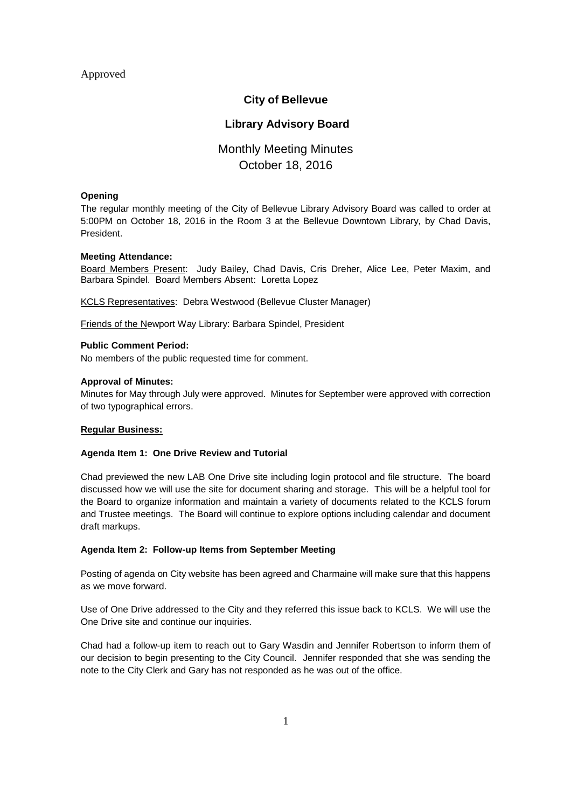# Approved

# **City of Bellevue**

# **Library Advisory Board**

# Monthly Meeting Minutes October 18, 2016

## **Opening**

The regular monthly meeting of the City of Bellevue Library Advisory Board was called to order at 5:00PM on October 18, 2016 in the Room 3 at the Bellevue Downtown Library, by Chad Davis, President.

## **Meeting Attendance:**

Board Members Present: Judy Bailey, Chad Davis, Cris Dreher, Alice Lee, Peter Maxim, and Barbara Spindel. Board Members Absent: Loretta Lopez

KCLS Representatives: Debra Westwood (Bellevue Cluster Manager)

Friends of the Newport Way Library: Barbara Spindel, President

## **Public Comment Period:**

No members of the public requested time for comment.

## **Approval of Minutes:**

Minutes for May through July were approved. Minutes for September were approved with correction of two typographical errors.

#### **Regular Business:**

#### **Agenda Item 1: One Drive Review and Tutorial**

Chad previewed the new LAB One Drive site including login protocol and file structure. The board discussed how we will use the site for document sharing and storage. This will be a helpful tool for the Board to organize information and maintain a variety of documents related to the KCLS forum and Trustee meetings. The Board will continue to explore options including calendar and document draft markups.

## **Agenda Item 2: Follow-up Items from September Meeting**

Posting of agenda on City website has been agreed and Charmaine will make sure that this happens as we move forward.

Use of One Drive addressed to the City and they referred this issue back to KCLS. We will use the One Drive site and continue our inquiries.

Chad had a follow-up item to reach out to Gary Wasdin and Jennifer Robertson to inform them of our decision to begin presenting to the City Council. Jennifer responded that she was sending the note to the City Clerk and Gary has not responded as he was out of the office.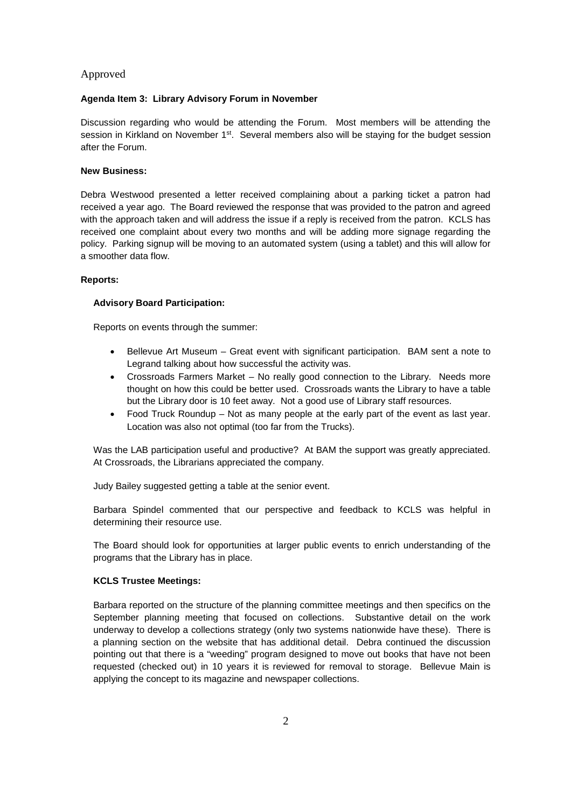## Approved

#### **Agenda Item 3: Library Advisory Forum in November**

Discussion regarding who would be attending the Forum. Most members will be attending the session in Kirkland on November 1<sup>st</sup>. Several members also will be staying for the budget session after the Forum.

#### **New Business:**

Debra Westwood presented a letter received complaining about a parking ticket a patron had received a year ago. The Board reviewed the response that was provided to the patron and agreed with the approach taken and will address the issue if a reply is received from the patron. KCLS has received one complaint about every two months and will be adding more signage regarding the policy. Parking signup will be moving to an automated system (using a tablet) and this will allow for a smoother data flow.

## **Reports:**

#### **Advisory Board Participation:**

Reports on events through the summer:

- Bellevue Art Museum Great event with significant participation. BAM sent a note to Legrand talking about how successful the activity was.
- Crossroads Farmers Market No really good connection to the Library. Needs more thought on how this could be better used. Crossroads wants the Library to have a table but the Library door is 10 feet away. Not a good use of Library staff resources.
- Food Truck Roundup Not as many people at the early part of the event as last year. Location was also not optimal (too far from the Trucks).

Was the LAB participation useful and productive? At BAM the support was greatly appreciated. At Crossroads, the Librarians appreciated the company.

Judy Bailey suggested getting a table at the senior event.

Barbara Spindel commented that our perspective and feedback to KCLS was helpful in determining their resource use.

The Board should look for opportunities at larger public events to enrich understanding of the programs that the Library has in place.

#### **KCLS Trustee Meetings:**

Barbara reported on the structure of the planning committee meetings and then specifics on the September planning meeting that focused on collections. Substantive detail on the work underway to develop a collections strategy (only two systems nationwide have these). There is a planning section on the website that has additional detail. Debra continued the discussion pointing out that there is a "weeding" program designed to move out books that have not been requested (checked out) in 10 years it is reviewed for removal to storage. Bellevue Main is applying the concept to its magazine and newspaper collections.